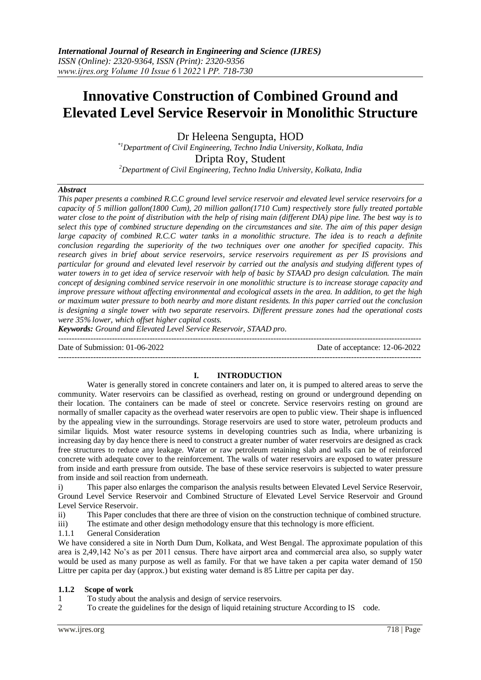# **Innovative Construction of Combined Ground and Elevated Level Service Reservoir in Monolithic Structure**

Dr Heleena Sengupta, HOD

*\*1Department of Civil Engineering, Techno India University, Kolkata, India* Dripta Roy, Student

*<sup>2</sup>Department of Civil Engineering, Techno India University, Kolkata, India*

# *Abstract*

*This paper presents a combined R.C.C ground level service reservoir and elevated level service reservoirs for a capacity of 5 million gallon(1800 Cum), 20 million gallon(1710 Cum) respectively store fully treated portable water close to the point of distribution with the help of rising main (different DIA) pipe line. The best way is to select this type of combined structure depending on the circumstances and site. The aim of this paper design large capacity of combined R.C.C water tanks in a monolithic structure. The idea is to reach a definite conclusion regarding the superiority of the two techniques over one another for specified capacity. This research gives in brief about service reservoirs, service reservoirs requirement as per IS provisions and particular for ground and elevated level reservoir by carried out the analysis and studying different types of water towers in to get idea of service reservoir with help of basic by STAAD pro design calculation. The main concept of designing combined service reservoir in one monolithic structure is to increase storage capacity and improve pressure without affecting environmental and ecological assets in the area. In addition, to get the high or maximum water pressure to both nearby and more distant residents. In this paper carried out the conclusion is designing a single tower with two separate reservoirs. Different pressure zones had the operational costs were 35% lower, which offset higher capital costs.*

*Keywords: Ground and Elevated Level Service Reservoir, STAAD pro.*

Date of Submission: 01-06-2022 Date of acceptance: 12-06-2022

--------------------------------------------------------------------------------------------------------------------------------------- ---------------------------------------------------------------------------------------------------------------------------------------

**I. INTRODUCTION**

Water is generally stored in concrete containers and later on, it is pumped to altered areas to serve the community. Water reservoirs can be classified as overhead, resting on ground or underground depending on their location. The containers can be made of steel or concrete. Service reservoirs resting on ground are normally of smaller capacity as the overhead water reservoirs are open to public view. Their shape is influenced by the appealing view in the surroundings. Storage reservoirs are used to store water, petroleum products and similar liquids. Most water resource systems in developing countries such as India, where urbanizing is increasing day by day hence there is need to construct a greater number of water reservoirs are designed as crack free structures to reduce any leakage. Water or raw petroleum retaining slab and walls can be of reinforced concrete with adequate cover to the reinforcement. The walls of water reservoirs are exposed to water pressure from inside and earth pressure from outside. The base of these service reservoirs is subjected to water pressure from inside and soil reaction from underneath.

i) This paper also enlarges the comparison the analysis results between Elevated Level Service Reservoir, Ground Level Service Reservoir and Combined Structure of Elevated Level Service Reservoir and Ground Level Service Reservoir.

ii) This Paper concludes that there are three of vision on the construction technique of combined structure.

iii) The estimate and other design methodology ensure that this technology is more efficient.

1.1.1 General Consideration

We have considered a site in North Dum Dum, Kolkata, and West Bengal. The approximate population of this area is 2,49,142 No's as per 2011 census. There have airport area and commercial area also, so supply water would be used as many purpose as well as family. For that we have taken a per capita water demand of 150 Littre per capita per day (approx.) but existing water demand is 85 Littre per capita per day.

#### **1.1.2 Scope of work**

- 1 To study about the analysis and design of service reservoirs.
- 2 To create the guidelines for the design of liquid retaining structure According to IS code.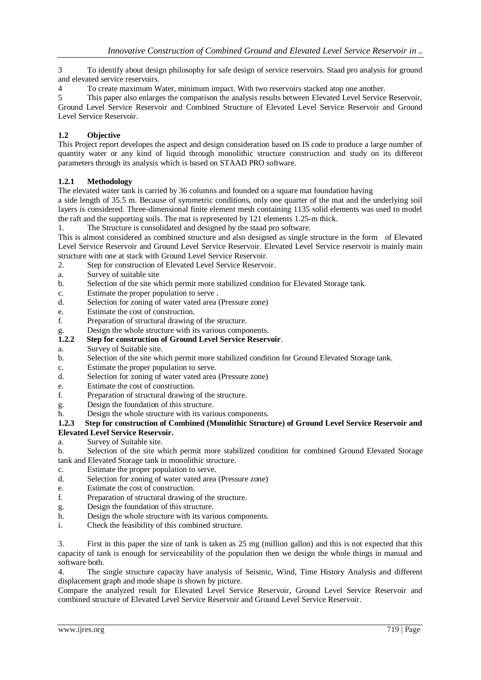3 To identify about design philosophy for safe design of service reservoirs. Staad pro analysis for ground and elevated service reservoirs.

4 To create maximum Water, minimum impact. With two reservoirs stacked atop one another.

5 This paper also enlarges the comparison the analysis results between Elevated Level Service Reservoir, Ground Level Service Reservoir and Combined Structure of Elevated Level Service Reservoir and Ground Level Service Reservoir.

# **1.2 Objective**

This Project report developes the aspect and design consideration based on IS code to produce a large number of quantity water or any kind of liquid through monolithic structure construction and study on its different parameters through its analysis which is based on STAAD PRO software.

# **1.2.1 Methodology**

The elevated water tank is carried by 36 columns and founded on a square mat foundation having

a side length of 35.5 m. Because of symmetric conditions, only one quarter of the mat and the underlying soil layers is considered. Three-dimensional finite element mesh containing 1135 solid elements was used to model the raft and the supporting soils. The mat is represented by 121 elements 1.25-m thick.

1. The Structure is consolidated and designed by the staad pro software.

This is almost considered as combined structure and also designed as single structure in the form of Elevated Level Service Reservoir and Ground Level Service Reservoir. Elevated Level Service reservoir is mainly main structure with one at stack with Ground Level Service Reservoir.

- 2. Step for construction of Elevated Level Service Reservoir.
- a. Survey of suitable site
- b. Selection of the site which permit more stabilized condition for Elevated Storage tank.
- c. Estimate the proper population to serve .
- d. Selection for zoning of water vated area (Pressure zone)
- e. Estimate the cost of construction.
- f. Preparation of structural drawing of the structure.
- g. Design the whole structure with its various components.<br>1.2.2 Step for construction of Ground Level Service Reserv

## **1.2.2 Step for construction of Ground Level Service Reservoir**.

- a. Survey of Suitable site.
- b. Selection of the site which permit more stabilized condition for Ground Elevated Storage tank.
- c. Estimate the proper population to serve.
- d. Selection for zoning of water vated area (Pressure zone)
- e. Estimate the cost of construction.
- f. Preparation of structural drawing of the structure.
- g. Design the foundation of this structure.
- h. Design the whole structure with its various components.

#### **1.2.3 Step for construction of Combined (Monolithic Structure) of Ground Level Service Reservoir and Elevated Level Service Reservoir.**

a. Survey of Suitable site.

b. Selection of the site which permit more stabilized condition for combined Ground Elevated Storage tank and Elevated Storage tank in monolithic structure.

- c. Estimate the proper population to serve.
- d. Selection for zoning of water vated area (Pressure zone)
- e. Estimate the cost of construction.
- f. Preparation of structural drawing of the structure.
- g. Design the foundation of this structure.
- h. Design the whole structure with its various components.
- i. Check the feasibility of this combined structure.

3. First in this paper the size of tank is taken as 25 mg (million gallon) and this is not expected that this capacity of tank is enough for serviceability of the population then we design the whole things in manual and software both.

4. The single structure capacity have analysis of Seismic, Wind, Time History Analysis and different displacement graph and mode shape is shown by picture.

Compare the analyzed result for Elevated Level Service Reservoir, Ground Level Service Reservoir and combined structure of Elevated Level Service Reservoir and Ground Level Service Reservoir.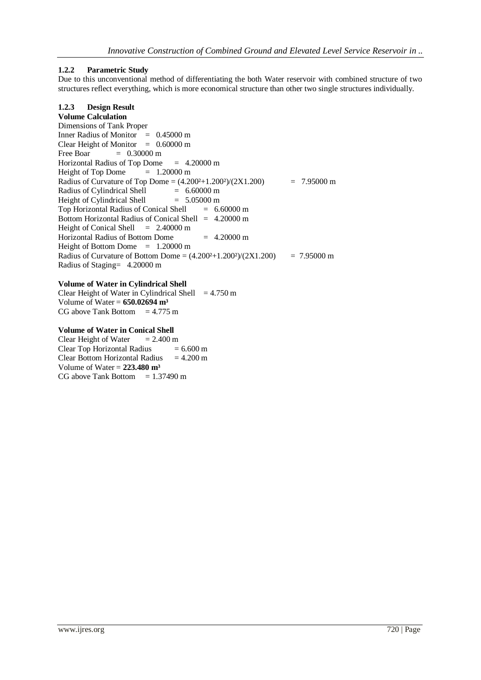# **1.2.2 Parametric Study**

Due to this unconventional method of differentiating the both Water reservoir with combined structure of two structures reflect everything, which is more economical structure than other two single structures individually.

# **1.2.3 Design Result**

**Volume Calculation** Dimensions of Tank Proper Inner Radius of Monitor = 0.45000 m Clear Height of Monitor  $= 0.60000 \text{ m}$ Free Boar  $= 0.30000 \text{ m}$ Horizontal Radius of Top Dome  $= 4.20000 \text{ m}$ Height of Top Dome  $= 1.20000 \text{ m}$ Radius of Curvature of Top Dome =  $(4.200^2+1.200^2)/(2X1.200)$  = 7.95000 m Radius of Cylindrical Shell  $= 6.60000 \text{ m}$ Height of Cylindrical Shell  $= 5.05000 \text{ m}$ Top Horizontal Radius of Conical Shell  $= 6.60000 \text{ m}$ Bottom Horizontal Radius of Conical Shell = 4.20000 m Height of Conical Shell  $= 2.40000 \text{ m}$ Horizontal Radius of Bottom Dome  $= 4.20000 \text{ m}$ Height of Bottom Dome  $= 1.20000 \text{ m}$ Radius of Curvature of Bottom Dome =  $(4.200^2+1.200^2)/(2X1.200)$  = 7.95000 m Radius of Staging= 4.20000 m

#### **Volume of Water in Cylindrical Shell**

Clear Height of Water in Cylindrical Shell  $= 4.750 \text{ m}$ Volume of Water = **650.02694 m³** CG above Tank Bottom  $= 4.775$  m

#### **Volume of Water in Conical Shell**

Clear Height of Water  $= 2.400 \text{ m}$ Clear Top Horizontal Radius  $= 6.600 \text{ m}$ Clear Bottom Horizontal Radius  $= 4.200 \text{ m}$ Volume of Water = **223.480 m³** CG above Tank Bottom  $= 1.37490 \text{ m}$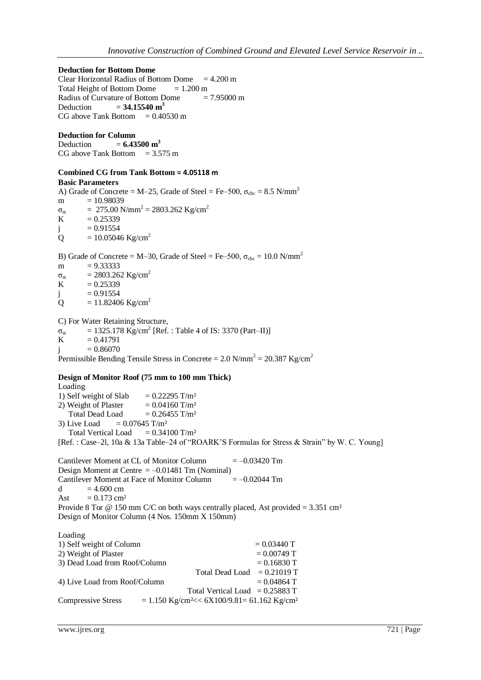**Deduction for Bottom Dome**  Clear Horizontal Radius of Bottom Dome  $= 4.200 \text{ m}$ Total Height of Bottom Dome  $= 1.200 \text{ m}$ 

Radius of Curvature of Bottom Dome  $= 7.95000 \text{ m}$ Deduction  $= 34.15540 \text{ m}^3$ CG above Tank Bottom  $= 0.40530$  m

#### **Deduction for Column**

Deduction  $= 6.43500 \text{ m}^3$ CG above Tank Bottom  $= 3.575$  m

# **Combined CG from Tank Bottom = 4.05118 m**

**Basic Parameters** A) Grade of Concrete = M–25, Grade of Steel = Fe–500,  $\sigma_{\text{cbc}}$  = 8.5 N/mm<sup>2</sup>  $m = 10.98039$  $\sigma_{\rm st}$  = 275.00 N/mm<sup>2</sup> = 2803.262 Kg/cm<sup>2</sup> K  $= 0.25339$  $i = 0.91554$  $Q = 10.05046$  Kg/cm<sup>2</sup>

B) Grade of Concrete = M–30, Grade of Steel = Fe–500,  $\sigma_{\rm{cbc}}$  = 10.0 N/mm<sup>2</sup>

m  $= 9.333333$ 

 $\sigma_{st}$  = 2803.262 Kg/cm<sup>2</sup><br>K = 0.25339  $= 0.25339$ 

 $j = 0.91554$ 

Q =  $11.82406 \text{ Kg/cm}^2$ 

C) For Water Retaining Structure,

 $\sigma_{\rm st}$  = 1325.178 Kg/cm<sup>2</sup> [Ref. : Table 4 of IS: 3370 (Part–II)]  $K = 0.41791$  $j = 0.86070$ 

Permissible Bending Tensile Stress in Concrete =  $2.0 \text{ N/mm}^2 = 20.387 \text{ Kg/cm}^2$ 

# **Design of Monitor Roof (75 mm to 100 mm Thick)**

Loading 1) Self weight of Slab  $= 0.22295$  T/m<sup>2</sup> 2) Weight of Plaster  $= 0.04160$  T/m<sup>2</sup> Total Dead Load  $= 0.26455$  T/m<sup>2</sup> 3) Live Load  $= 0.07645$  T/m<sup>2</sup> Total Vertical Load  $= 0.34100$  T/m<sup>2</sup> [Ref. : Case–2l, 10a & 13a Table–24 of "ROARK'S Formulas for Stress & Strain" by W. C. Young]

Cantilever Moment at CL of Monitor Column  $= -0.03420$  Tm Design Moment at Centre  $= -0.01481$  Tm (Nominal) Cantilever Moment at Face of Monitor Column  $= -0.02044$  Tm d  $= 4.600$  cm Ast  $= 0.173$  cm<sup>2</sup> Provide 8 Tor  $\omega$  150 mm C/C on both ways centrally placed, Ast provided = 3.351 cm<sup>2</sup> Design of Monitor Column (4 Nos. 150mm X 150mm)

| Loading                       |                                                                        |               |
|-------------------------------|------------------------------------------------------------------------|---------------|
| 1) Self weight of Column      |                                                                        | $= 0.03440$ T |
| 2) Weight of Plaster          |                                                                        | $= 0.00749$ T |
| 3) Dead Load from Roof/Column |                                                                        | $= 0.16830$ T |
|                               | <b>Total Dead Load</b>                                                 | $= 0.21019$ T |
| 4) Live Load from Roof/Column |                                                                        | $= 0.04864$ T |
|                               | Total Vertical Load = $0.25883$ T                                      |               |
| <b>Compressive Stress</b>     | $= 1.150$ Kg/cm <sup>2</sup> << 6X100/9.81 = 61.162 Kg/cm <sup>2</sup> |               |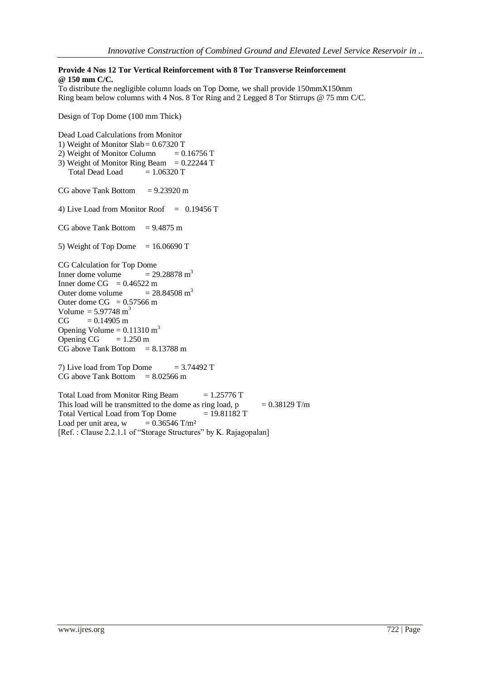# **Provide 4 Nos 12 Tor Vertical Reinforcement with 8 Tor Transverse Reinforcement @ 150 mm C/C.**

To distribute the negligible column loads on Top Dome, we shall provide 150mmX150mm Ring beam below columns with 4 Nos. 8 Tor Ring and 2 Legged 8 Tor Stirrups @ 75 mm C/C.

Design of Top Dome (100 mm Thick)

Dead Load Calculations from Monitor 1) Weight of Monitor Slab= 0.67320 T 2) Weight of Monitor Column  $= 0.16756$  T 3) Weight of Monitor Ring Beam =  $0.22244$  T Total Dead Load  $= 1.06320$  T  $CG above Tank Bottom = 9.23920 m$ 4) Live Load from Monitor Roof  $= 0.19456$  T CG above Tank Bottom  $= 9.4875$  m 5) Weight of Top Dome  $= 16.06690$  T CG Calculation for Top Dome Inner dome volume  $= 29.28878 \text{ m}^3$ Inner dome CG =  $0.46522$  m Outer dome volume  $= 28.84508 \text{ m}^3$ Outer dome  $CG = 0.57566$  m Volume =  $5.97748 \text{ m}^3$  $CG = 0.14905 m$ Opening Volume =  $0.11310 \text{ m}^3$ Opening CG  $= 1.250 \text{ m}$  $CG above Tank Bottom = 8.13788 m$ 7) Live load from Top Dome  $= 3.74492$  T  $CG above Tank Bottom = 8.02566 m$ Total Load from Monitor Ring Beam  $= 1.25776$  T This load will be transmitted to the dome as ring load,  $p = 0.38129$  T/m Total Vertical Load from Top Dome  $= 19.81182$  T Load per unit area,  $w = 0.36546$  T/m<sup>2</sup>

[Ref. : Clause 2.2.1.1 of "Storage Structures" by K. Rajagopalan]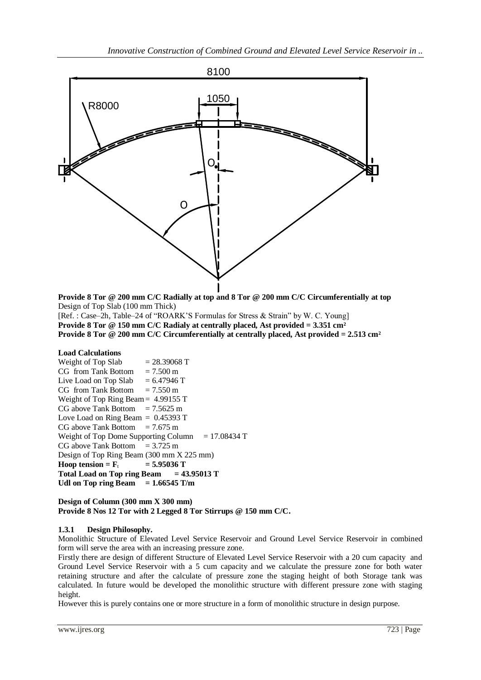

**Provide 8 Tor @ 200 mm C/C Radially at top and 8 Tor @ 200 mm C/C Circumferentially at top** Design of Top Slab (100 mm Thick)

[Ref. : Case–2h, Table–24 of "ROARK'S Formulas for Stress & Strain" by W. C. Young] **Provide 8 Tor @ 150 mm C/C Radialy at centrally placed, Ast provided = 3.351 cm² Provide 8 Tor @ 200 mm C/C Circumferentially at centrally placed, Ast provided = 2.513 cm²**

# **Load Calculations**

| $= 28.39068$ T                                      |
|-----------------------------------------------------|
| $CG$ from Tank Bottom $= 7.500$ m                   |
| Live Load on Top Slab $= 6.47946$ T                 |
| $CG$ from Tank Bottom = 7.550 m                     |
| Weight of Top Ring Beam = $4.99155$ T               |
| $CG$ above Tank Bottom = 7.5625 m                   |
| Love Load on Ring Beam $= 0.45393$ T                |
| $CG$ above Tank Bottom = 7.675 m                    |
| Weight of Top Dome Supporting Column $= 17.08434$ T |
| $CG above Tank Bottom = 3.725 m$                    |
| Design of Top Ring Beam (300 mm X 225 mm)           |
| Hoop tension = $F_t$ = 5.95036 T                    |
| Total Load on Top ring Beam $= 43.95013$ T          |
| Udl on Top ring Beam $= 1.66545$ T/m                |
|                                                     |

#### **Design of Column (300 mm X 300 mm) Provide 8 Nos 12 Tor with 2 Legged 8 Tor Stirrups @ 150 mm C/C.**

#### **1.3.1 Design Philosophy.**

Monolithic Structure of Elevated Level Service Reservoir and Ground Level Service Reservoir in combined form will serve the area with an increasing pressure zone.

Firstly there are design of different Structure of Elevated Level Service Reservoir with a 20 cum capacity and Ground Level Service Reservoir with a 5 cum capacity and we calculate the pressure zone for both water retaining structure and after the calculate of pressure zone the staging height of both Storage tank was calculated. In future would be developed the monolithic structure with different pressure zone with staging height.

However this is purely contains one or more structure in a form of monolithic structure in design purpose.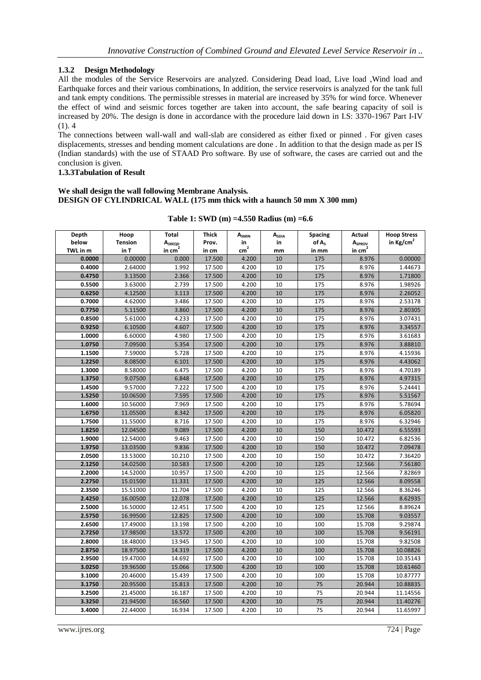# **1.3.2 Design Methodology**

All the modules of the Service Reservoirs are analyzed. Considering Dead load, Live load ,Wind load and Earthquake forces and their various combinations, In addition, the service reservoirs is analyzed for the tank full and tank empty conditions. The permissible stresses in material are increased by 35% for wind force. Whenever the effect of wind and seismic forces together are taken into account, the safe bearing capacity of soil is increased by 20%. The design is done in accordance with the procedure laid down in I.S: 3370-1967 Part I-IV (1). 4

The connections between wall-wall and wall-slab are considered as either fixed or pinned . For given cases displacements, stresses and bending moment calculations are done . In addition to that the design made as per IS (Indian standards) with the use of STAAD Pro software. By use of software, the cases are carried out and the conclusion is given.

#### **1.3.3Tabulation of Result**

#### **We shall design the wall following Membrane Analysis. DESIGN OF CYLINDRICAL WALL (175 mm thick with a haunch 50 mm X 300 mm)**

| Depth    | Hoop           | Total              | Thick  | A <sub>SMIN</sub> | ASDIA | <b>Spacing</b>    | <b>Actual</b>      | <b>Hoop Stress</b>  |
|----------|----------------|--------------------|--------|-------------------|-------|-------------------|--------------------|---------------------|
| below    | <b>Tension</b> | A <sub>SREQD</sub> | Prov.  | in                | in    | of A <sub>s</sub> | A <sub>SPROV</sub> | in $\text{Kg/cm}^2$ |
| TWL in m | in T           | in $cm2$           | in cm  | cm <sup>2</sup>   | mm    | in mm             | in $cm2$           |                     |
| 0.0000   | 0.00000        | 0.000              | 17.500 | 4.200             | 10    | 175               | 8.976              | 0.00000             |
| 0.4000   | 2.64000        | 1.992              | 17.500 | 4.200             | 10    | 175               | 8.976              | 1.44673             |
| 0.4750   | 3.13500        | 2.366              | 17.500 | 4.200             | 10    | 175               | 8.976              | 1.71800             |
| 0.5500   | 3.63000        | 2.739              | 17.500 | 4.200             | 10    | 175               | 8.976              | 1.98926             |
| 0.6250   | 4.12500        | 3.113              | 17.500 | 4.200             | 10    | 175               | 8.976              | 2.26052             |
| 0.7000   | 4.62000        | 3.486              | 17.500 | 4.200             | 10    | 175               | 8.976              | 2.53178             |
| 0.7750   | 5.11500        | 3.860              | 17.500 | 4.200             | 10    | 175               | 8.976              | 2.80305             |
| 0.8500   | 5.61000        | 4.233              | 17.500 | 4.200             | 10    | 175               | 8.976              | 3.07431             |
| 0.9250   | 6.10500        | 4.607              | 17.500 | 4.200             | 10    | 175               | 8.976              | 3.34557             |
| 1.0000   | 6.60000        | 4.980              | 17.500 | 4.200             | 10    | 175               | 8.976              | 3.61683             |
| 1.0750   | 7.09500        | 5.354              | 17.500 | 4.200             | 10    | 175               | 8.976              | 3.88810             |
| 1.1500   | 7.59000        | 5.728              | 17.500 | 4.200             | 10    | 175               | 8.976              | 4.15936             |
| 1.2250   | 8.08500        | 6.101              | 17.500 | 4.200             | 10    | 175               | 8.976              | 4.43062             |
| 1.3000   | 8.58000        | 6.475              | 17.500 | 4.200             | 10    | 175               | 8.976              | 4.70189             |
| 1.3750   | 9.07500        | 6.848              | 17.500 | 4.200             | 10    | 175               | 8.976              | 4.97315             |
| 1.4500   | 9.57000        | 7.222              | 17.500 | 4.200             | 10    | 175               | 8.976              | 5.24441             |
| 1.5250   | 10.06500       | 7.595              | 17.500 | 4.200             | 10    | 175               | 8.976              | 5.51567             |
| 1.6000   | 10.56000       | 7.969              | 17.500 | 4.200             | 10    | 175               | 8.976              | 5.78694             |
| 1.6750   | 11.05500       | 8.342              | 17.500 | 4.200             | 10    | 175               | 8.976              | 6.05820             |
| 1.7500   | 11.55000       | 8.716              | 17.500 | 4.200             | 10    | 175               | 8.976              | 6.32946             |
| 1.8250   | 12.04500       | 9.089              | 17.500 | 4.200             | 10    | 150               | 10.472             | 6.55593             |
| 1.9000   | 12.54000       | 9.463              | 17.500 | 4.200             | 10    | 150               | 10.472             | 6.82536             |
| 1.9750   | 13.03500       | 9.836              | 17.500 | 4.200             | 10    | 150               | 10.472             | 7.09478             |
| 2.0500   | 13.53000       | 10.210             | 17.500 | 4.200             | 10    | 150               | 10.472             | 7.36420             |
| 2.1250   | 14.02500       | 10.583             | 17.500 | 4.200             | 10    | 125               | 12.566             | 7.56180             |
| 2.2000   | 14.52000       | 10.957             | 17.500 | 4.200             | 10    | 125               | 12.566             | 7.82869             |
| 2.2750   | 15.01500       | 11.331             | 17.500 | 4.200             | 10    | 125               | 12.566             | 8.09558             |
| 2.3500   | 15.51000       | 11.704             | 17.500 | 4.200             | 10    | 125               | 12.566             | 8.36246             |
| 2.4250   | 16.00500       | 12.078             | 17.500 | 4.200             | 10    | 125               | 12.566             | 8.62935             |
| 2.5000   | 16.50000       | 12.451             | 17.500 | 4.200             | 10    | 125               | 12.566             | 8.89624             |
| 2.5750   | 16.99500       | 12.825             | 17.500 | 4.200             | 10    | 100               | 15.708             | 9.03557             |
| 2.6500   | 17.49000       | 13.198             | 17.500 | 4.200             | 10    | 100               | 15.708             | 9.29874             |
| 2.7250   | 17.98500       | 13.572             | 17.500 | 4.200             | 10    | 100               | 15.708             | 9.56191             |
| 2.8000   | 18.48000       | 13.945             | 17.500 | 4.200             | 10    | 100               | 15.708             | 9.82508             |
| 2.8750   | 18.97500       | 14.319             | 17.500 | 4.200             | 10    | 100               | 15.708             | 10.08826            |
| 2.9500   | 19.47000       | 14.692             | 17.500 | 4.200             | 10    | 100               | 15.708             | 10.35143            |
| 3.0250   | 19.96500       | 15.066             | 17.500 | 4.200             | 10    | 100               | 15.708             | 10.61460            |
| 3.1000   | 20.46000       | 15.439             | 17.500 | 4.200             | 10    | 100               | 15.708             | 10.87777            |
| 3.1750   | 20.95500       | 15.813             | 17.500 | 4.200             | 10    | 75                | 20.944             | 10.88835            |
| 3.2500   | 21.45000       | 16.187             | 17.500 | 4.200             | 10    | 75                | 20.944             | 11.14556            |
| 3.3250   | 21.94500       | 16.560             | 17.500 | 4.200             | 10    | 75                | 20.944             | 11.40276            |
| 3.4000   | 22.44000       | 16.934             | 17.500 | 4.200             | 10    | 75                | 20.944             | 11.65997            |

**Table 1: SWD (m) =4.550 Radius (m) =6.6**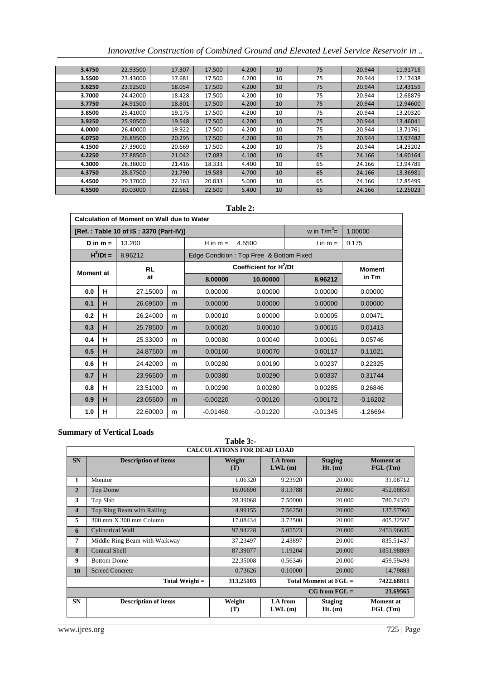|  |  |  | Innovative Construction of Combined Ground and Elevated Level Service Reservoir in |
|--|--|--|------------------------------------------------------------------------------------|
|  |  |  |                                                                                    |

| 3.4750 | 22.93500 | 17.307 | 17.500 | 4.200 | 10 | 75 | 20.944 | 11.91718 |
|--------|----------|--------|--------|-------|----|----|--------|----------|
| 3.5500 | 23.43000 | 17.681 | 17.500 | 4.200 | 10 | 75 | 20.944 | 12.17438 |
| 3.6250 | 23.92500 | 18.054 | 17.500 | 4.200 | 10 | 75 | 20.944 | 12.43159 |
| 3.7000 | 24.42000 | 18.428 | 17.500 | 4.200 | 10 | 75 | 20.944 | 12.68879 |
| 3.7750 | 24.91500 | 18.801 | 17.500 | 4.200 | 10 | 75 | 20.944 | 12.94600 |
| 3.8500 | 25.41000 | 19.175 | 17.500 | 4.200 | 10 | 75 | 20.944 | 13.20320 |
| 3.9250 | 25.90500 | 19.548 | 17.500 | 4.200 | 10 | 75 | 20.944 | 13.46041 |
| 4.0000 | 26.40000 | 19.922 | 17.500 | 4.200 | 10 | 75 | 20.944 | 13.71761 |
| 4.0750 | 26.89500 | 20.295 | 17.500 | 4.200 | 10 | 75 | 20.944 | 13.97482 |
| 4.1500 | 27.39000 | 20.669 | 17.500 | 4.200 | 10 | 75 | 20.944 | 14.23202 |
| 4.2250 | 27.88500 | 21.042 | 17.083 | 4.100 | 10 | 65 | 24.166 | 14.60164 |
| 4.3000 | 28.38000 | 21.416 | 18.333 | 4.400 | 10 | 65 | 24.166 | 13.94789 |
| 4.3750 | 28.87500 | 21.790 | 19.583 | 4.700 | 10 | 65 | 24.166 | 13.36981 |
| 4.4500 | 29.37000 | 22.163 | 20.833 | 5.000 | 10 | 65 | 24.166 | 12.85499 |
| 4.5500 | 30.03000 | 22.661 | 22.500 | 5.400 | 10 | 65 | 24.166 | 12.25023 |

## **Table 2:**

| Calculation of Moment on Wall due to Water |                                        |           |   |            |                                         |            |                        |  |
|--------------------------------------------|----------------------------------------|-----------|---|------------|-----------------------------------------|------------|------------------------|--|
|                                            | [Ref.: Table 10 of IS: 3370 (Part-IV)] |           |   |            |                                         |            | 1.00000                |  |
|                                            | D in $m =$                             | 13.200    |   | H in $m =$ | 4.5500                                  | t in $m =$ | 0.175                  |  |
|                                            | $H^2/Dt =$                             | 8.96212   |   |            | Edge Condition: Top Free & Bottom Fixed |            |                        |  |
| <b>Moment</b> at                           |                                        | <b>RL</b> |   |            | Coefficient for H <sup>2</sup> /Dt      |            | <b>Moment</b><br>in Tm |  |
|                                            |                                        | at        |   | 8.00000    | 10.00000                                | 8.96212    |                        |  |
| 0.0                                        | H                                      | 27.15000  | m | 0.00000    | 0.00000                                 | 0.00000    | 0.00000                |  |
| 0.1                                        | H                                      | 26.69500  | m | 0.00000    | 0.00000                                 | 0.00000    | 0.00000                |  |
| 0.2                                        | H                                      | 26.24000  | m | 0.00010    | 0.00000                                 | 0.00005    | 0.00471                |  |
| 0.3                                        | H                                      | 25.78500  | m | 0.00020    | 0.00010                                 | 0.00015    | 0.01413                |  |
| 0.4                                        | H                                      | 25.33000  | m | 0.00080    | 0.00040                                 | 0.00061    | 0.05746                |  |
| 0.5                                        | H                                      | 24.87500  | m | 0.00160    | 0.00070                                 | 0.00117    | 0.11021                |  |
| 0.6                                        | H                                      | 24.42000  | m | 0.00280    | 0.00190                                 | 0.00237    | 0.22325                |  |
| 0.7                                        | H                                      | 23.96500  | m | 0.00380    | 0.00290                                 | 0.00337    | 0.31744                |  |
| 0.8                                        | H                                      | 23.51000  | m | 0.00290    | 0.00280                                 | 0.00285    | 0.26846                |  |
| 0.9                                        | H                                      | 23.05500  | m | $-0.00220$ | $-0.00120$                              | $-0.00172$ | $-0.16202$             |  |
| 1.0                                        | H                                      | 22.60000  | m | $-0.01460$ | $-0.01220$                              | $-0.01345$ | $-1.26694$             |  |

# **Summary of Vertical Loads**

|                         | unniai y vi-v ti utai Lvaus<br>Table $3:-$                                    |               |                             |                             |                             |  |
|-------------------------|-------------------------------------------------------------------------------|---------------|-----------------------------|-----------------------------|-----------------------------|--|
|                         | <b>CALCULATIONS FOR DEAD LOAD</b>                                             |               |                             |                             |                             |  |
| <b>SN</b>               | <b>Description of items</b>                                                   | Weight<br>(T) | <b>LA</b> from<br>$LWL$ (m) | <b>Staging</b><br>$Ht.$ (m) | <b>Moment</b> at<br>FGL(Tm) |  |
| $\mathbf{1}$            | Monitor                                                                       | 1.06320       | 9.23920                     | 20.000                      | 31.08712                    |  |
| $\overline{2}$          | Top Dome                                                                      | 16.06690      | 8.13788                     | 20.000                      | 452.08850                   |  |
| 3                       | Top Slab                                                                      | 28.39068      | 7.50000                     | 20.000                      | 780.74370                   |  |
| $\overline{\mathbf{4}}$ | Top Ring Beam with Railing                                                    | 4.99155       | 7.56250                     | 20.000                      | 137.57960                   |  |
| 5                       | 300 mm X 300 mm Column                                                        | 17.08434      | 3.72500                     | 20.000                      | 405.32597                   |  |
| 6                       | Cylindrical Wall                                                              | 97.94228      | 5.05523                     | 20.000                      | 2453.96635                  |  |
| $\overline{7}$          | Middle Ring Beam with Walkway                                                 | 37.23497      | 2.43897                     | 20.000                      | 835.51437                   |  |
| 8                       | <b>Conical Shell</b>                                                          | 87.39077      | 1.19204                     | 20.000                      | 1851.98869                  |  |
| 9                       | <b>Bottom Dome</b>                                                            | 22.35008      | 0.56346                     | 20.000                      | 459.59498                   |  |
| 10                      | <b>Screed Concrete</b>                                                        | 0.73626       | 0.10000                     | 20.000                      | 14.79883                    |  |
|                         | 313.25103<br>Total Moment at $\mathbf{FGL} =$<br>Total Weight =<br>7422.68811 |               |                             |                             |                             |  |
|                         |                                                                               |               |                             | $CG from FGL =$             | 23.69565                    |  |
| <b>SN</b>               | <b>Description of items</b>                                                   | Weight<br>(T) | <b>LA</b> from<br>$LWL$ (m) | <b>Staging</b><br>Ht. (m)   | <b>Moment</b> at<br>FGL(Tm) |  |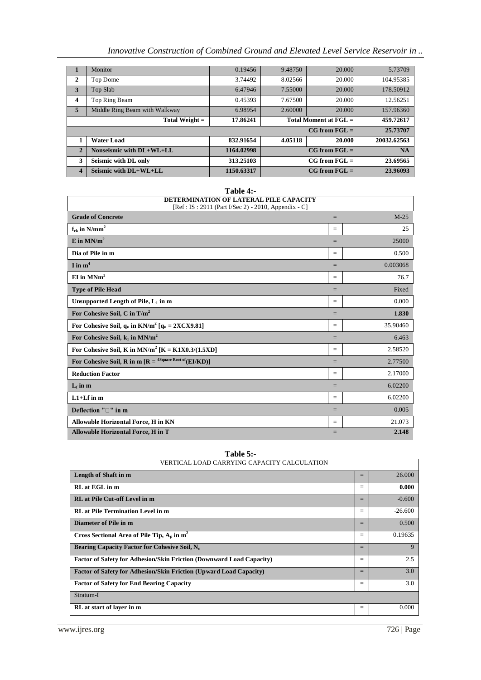# *Innovative Construction of Combined Ground and Elevated Level Service Reservoir in ..*

|                  | Monitor                       | 0.19456    | 9.48750                          | 20,000          | 5.73709     |
|------------------|-------------------------------|------------|----------------------------------|-----------------|-------------|
| $\mathbf{2}$     | Top Dome                      | 3.74492    | 8.02566                          | 20.000          | 104.95385   |
| 3                | Top Slab                      | 6.47946    | 7.55000                          | 20,000          | 178.50912   |
| $\boldsymbol{4}$ | Top Ring Beam                 | 0.45393    | 7.67500                          | 20.000          | 12.56251    |
| $\overline{5}$   | Middle Ring Beam with Walkway | 6.98954    | 2.60000                          | 20,000          | 157.96360   |
|                  | Total Weight =                | 17.86241   | Total Moment at $\mathbf{FGL} =$ | 459.72617       |             |
|                  |                               |            |                                  |                 |             |
|                  |                               |            |                                  | $CG from FGL =$ | 25.73707    |
|                  | <b>Water Load</b>             | 832.91654  | 4.05118                          | 20.000          | 20032.62563 |
| $\overline{2}$   | Nonseismic with DL+WL+LL      | 1164.02998 |                                  | $CG from FGL =$ | <b>NA</b>   |
| 3                | Seismic with DL only          | 313.25103  |                                  | $CG from FGL =$ | 23.69565    |

| Table 4:-                                                                                       |     |          |
|-------------------------------------------------------------------------------------------------|-----|----------|
| DETERMINATION OF LATERAL PILE CAPACITY<br>[Ref : IS : 2911 (Part I/Sec 2) - 2010, Appendix - C] |     |          |
| <b>Grade of Concrete</b>                                                                        | $=$ | $M-25$   |
|                                                                                                 |     |          |
| $f_{ck}$ in N/mm <sup>2</sup>                                                                   | $=$ | 25       |
| E in $MN/m^2$                                                                                   | $=$ | 25000    |
| Dia of Pile in m                                                                                | $=$ | 0.500    |
| I in $m^4$                                                                                      | $=$ | 0.003068 |
| $EI$ in $MNm2$                                                                                  | $=$ | 76.7     |
| <b>Type of Pile Head</b>                                                                        | $=$ | Fixed    |
| Unsupported Length of Pile, $L_1$ in m                                                          | $=$ | 0.000    |
| For Cohesive Soil, C in $T/m^2$                                                                 | $=$ | 1.830    |
| For Cohesive Soil, $q_u$ in KN/m <sup>2</sup> [ $q_u$ = 2XCX9.81]                               | $=$ | 35.90460 |
| For Cohesive Soil, $k_1$ in MN/m <sup>2</sup>                                                   | $=$ | 6.463    |
| For Cohesive Soil, K in $MN/m^2$ [K = K1X0.3/(1.5XD]                                            | $=$ | 2.58520  |
| For Cohesive Soil, R in m $[R = \frac{4 \text{Square Root of}}{(EL/KD)}]$                       | $=$ | 2.77500  |
| <b>Reduction Factor</b>                                                                         | $=$ | 2.17000  |
| $L_f$ in $m$                                                                                    | $=$ | 6.02200  |
| $L1+Lf$ in m                                                                                    | $=$ | 6.02200  |
| Deflection "□" in m                                                                             | $=$ | 0.005    |
| Allowable Horizontal Force, H in KN                                                             | $=$ | 21.073   |
| Allowable Horizontal Force, H in T                                                              | $=$ | 2.148    |

| Table $5:$                                                           |     |           |
|----------------------------------------------------------------------|-----|-----------|
| VERTICAL LOAD CARRYING CAPACITY CALCULATION                          |     |           |
| Length of Shaft in m                                                 | $=$ | 26,000    |
| RL at EGL in m                                                       | $=$ | 0.000     |
| <b>RL</b> at Pile Cut-off Level in m                                 | $=$ | $-0.600$  |
| <b>RL</b> at Pile Termination Level in m                             | $=$ | $-26.600$ |
| Diameter of Pile in m                                                | $=$ | 0.500     |
| Cross Sectional Area of Pile Tip, $A_p$ in $m^2$                     | $=$ | 0.19635   |
| Bearing Capacity Factor for Cohesive Soil, N <sub>c</sub>            | $=$ | 9         |
| Factor of Safety for Adhesion/Skin Friction (Downward Load Capacity) | $=$ | 2.5       |
| Factor of Safety for Adhesion/Skin Friction (Upward Load Capacity)   | $=$ | 3.0       |
| <b>Factor of Safety for End Bearing Capacity</b>                     | $=$ | 3.0       |
| Stratum-I                                                            |     |           |
| RL at start of layer in m                                            | $=$ | 0.000     |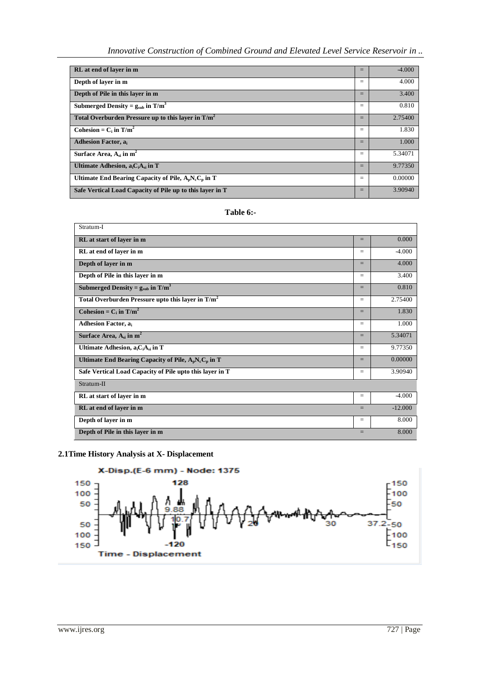*Innovative Construction of Combined Ground and Elevated Level Service Reservoir in ..*

| RL at end of laver in m                                   | $=$ | $-4.000$ |
|-----------------------------------------------------------|-----|----------|
| Depth of layer in m                                       | $=$ | 4.000    |
| Depth of Pile in this layer in m                          | $=$ | 3.400    |
| Submerged Density = $g_{sub}$ in T/m <sup>3</sup>         | $=$ | 0.810    |
| Total Overburden Pressure up to this layer in $T/m^2$     | $=$ | 2.75400  |
| Cohesion = $C_i$ in $T/m^2$                               | $=$ | 1.830    |
| <b>Adhesion Factor, a</b>                                 | $=$ | 1.000    |
| Surface Area, $A_{si}$ in $m^2$                           | $=$ | 5.34071  |
| Ultimate Adhesion, $a_iC_iA_{si}$ in T                    | $=$ | 9.77350  |
| Ultimate End Bearing Capacity of Pile, $A_nN_cC_n$ in T   | $=$ | 0.00000  |
| Safe Vertical Load Capacity of Pile up to this layer in T | $=$ | 3.90940  |

| <b>l'able 6:</b> |  |
|------------------|--|
|------------------|--|

| Stratum-I                                                     |     |           |
|---------------------------------------------------------------|-----|-----------|
| RL at start of layer in m                                     | $=$ | 0.000     |
| RL at end of layer in m                                       | $=$ | $-4.000$  |
| Depth of layer in m                                           | $=$ | 4.000     |
| Depth of Pile in this layer in m                              | $=$ | 3.400     |
| Submerged Density = $g_{sub}$ in $T/m^3$                      | $=$ | 0.810     |
| Total Overburden Pressure upto this layer in T/m <sup>2</sup> | $=$ | 2.75400   |
| Cohesion = $C_i$ in T/m <sup>2</sup>                          | $=$ | 1.830     |
| <b>Adhesion Factor, all</b>                                   | $=$ | 1.000     |
| Surface Area, $A_{si}$ in $m^2$                               | $=$ | 5.34071   |
| Ultimate Adhesion, $a_iC_iA_{si}$ in T                        | $=$ | 9.77350   |
| Ultimate End Bearing Capacity of Pile, $A_pN_cC_p$ in T       | $=$ | 0.00000   |
| Safe Vertical Load Capacity of Pile upto this layer in T      | $=$ | 3.90940   |
| Stratum-II                                                    |     |           |
| RL at start of layer in m                                     | $=$ | $-4.000$  |
| RL at end of layer in m                                       | $=$ | $-12,000$ |
| Depth of layer in m                                           | $=$ | 8.000     |
| Depth of Pile in this layer in m                              | $=$ | 8.000     |

# **2.1Time History Analysis at X- Displacement**

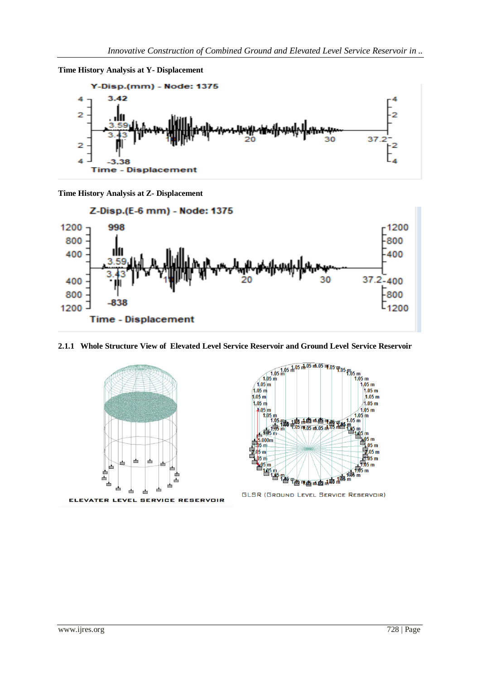



**Time History Analysis at Z- Displacement**



#### **2.1.1 Whole Structure View of Elevated Level Service Reservoir and Ground Level Service Reservoir**





**GLSR (GROUND LEVEL SERVICE RESERVOIR)**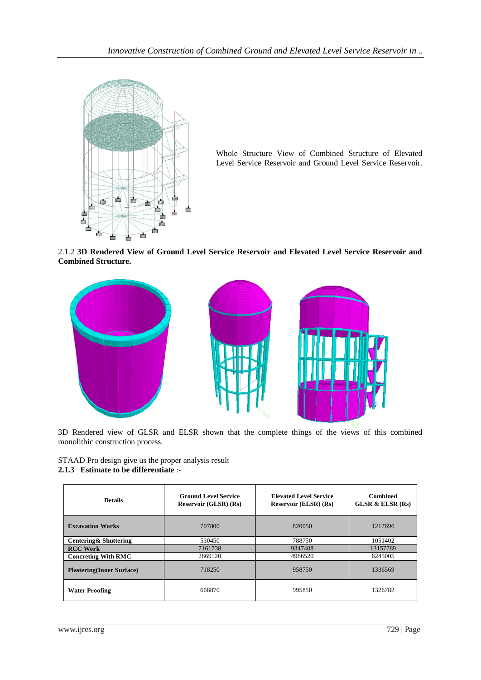

Whole Structure View of Combined Structure of Elevated Level Service Reservoir and Ground Level Service Reservoir.

2.1.2 **3D Rendered View of Ground Level Service Reservoir and Elevated Level Service Reservoir and Combined Structure.**



3D Rendered view of GLSR and ELSR shown that the complete things of the views of this combined monolithic construction process.

STAAD Pro design give us the proper analysis result **2.1.3 Estimate to be differentiate** :-

| <b>Details</b>                   | <b>Ground Level Service</b><br><b>Reservoir (GLSR) (Rs)</b> | <b>Elevated Level Service</b><br><b>Reservoir (ELSR) (Rs)</b> | <b>Combined</b><br>GLSR $\&$ ELSR $(Rs)$ |
|----------------------------------|-------------------------------------------------------------|---------------------------------------------------------------|------------------------------------------|
| <b>Excavation Works</b>          | 707800                                                      | 820050                                                        | 1217696                                  |
| Centering & Shuttering           | 530450                                                      | 788750                                                        | 1051402                                  |
| <b>RCC Work</b>                  | 7161738                                                     | 9347408                                                       | 13157789                                 |
| <b>Concreting With RMC</b>       | 2869120                                                     | 4966520                                                       | 6245005                                  |
| <b>Plastering(Inner Surface)</b> | 718250                                                      | 958750                                                        | 1336569                                  |
| <b>Water Proofing</b>            | 668870                                                      | 995850                                                        | 1326782                                  |